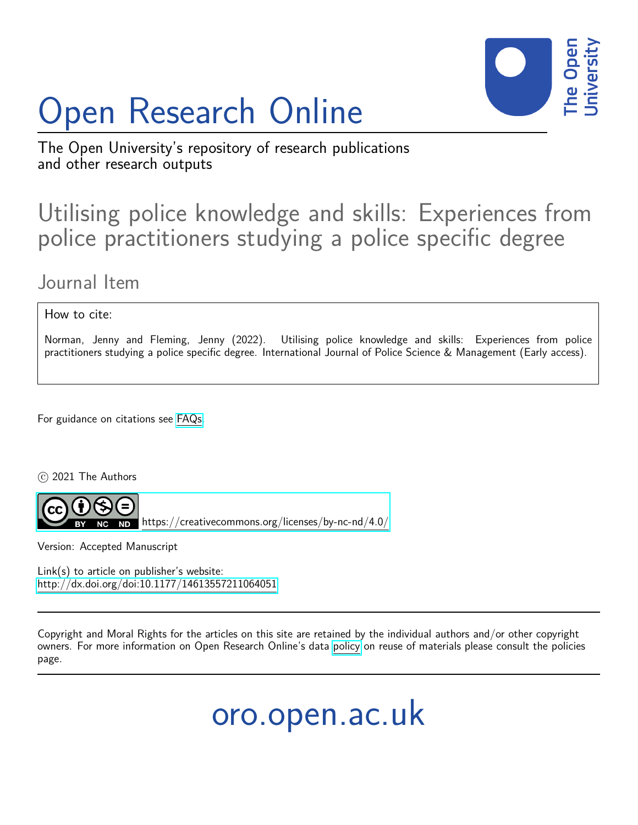# Open Research Online



The Open University's repository of research publications and other research outputs

# Utilising police knowledge and skills: Experiences from police practitioners studying a police specific degree

# Journal Item

How to cite:

Norman, Jenny and Fleming, Jenny (2022). Utilising police knowledge and skills: Experiences from police practitioners studying a police specific degree. International Journal of Police Science & Management (Early access).

For guidance on citations see [FAQs.](http://oro.open.ac.uk/help/helpfaq.html)

c 2021 The Authors



 $N$ b <https://creativecommons.org/licenses/by-nc-nd/4.0/>

Version: Accepted Manuscript

Link(s) to article on publisher's website: <http://dx.doi.org/doi:10.1177/14613557211064051>

Copyright and Moral Rights for the articles on this site are retained by the individual authors and/or other copyright owners. For more information on Open Research Online's data [policy](http://oro.open.ac.uk/policies.html) on reuse of materials please consult the policies page.

oro.open.ac.uk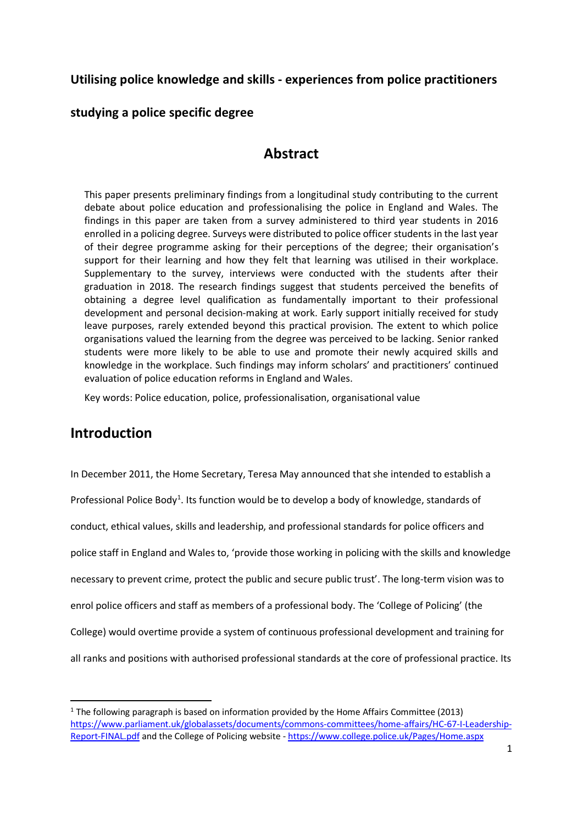# **Utilising police knowledge and skills - experiences from police practitioners**

## **studying a police specific degree**

# **Abstract**

This paper presents preliminary findings from a longitudinal study contributing to the current debate about police education and professionalising the police in England and Wales. The findings in this paper are taken from a survey administered to third year students in 2016 enrolled in a policing degree. Surveys were distributed to police officer students in the last year of their degree programme asking for their perceptions of the degree; their organisation's support for their learning and how they felt that learning was utilised in their workplace. Supplementary to the survey, interviews were conducted with the students after their graduation in 2018. The research findings suggest that students perceived the benefits of obtaining a degree level qualification as fundamentally important to their professional development and personal decision-making at work. Early support initially received for study leave purposes, rarely extended beyond this practical provision. The extent to which police organisations valued the learning from the degree was perceived to be lacking. Senior ranked students were more likely to be able to use and promote their newly acquired skills and knowledge in the workplace. Such findings may inform scholars' and practitioners' continued evaluation of police education reforms in England and Wales.

Key words: Police education, police, professionalisation, organisational value

# **Introduction**

In December 2011, the Home Secretary, Teresa May announced that she intended to establish a Professional Police Body<sup>[1](#page-1-0)</sup>. Its function would be to develop a body of knowledge, standards of conduct, ethical values, skills and leadership, and professional standards for police officers and police staff in England and Wales to, 'provide those working in policing with the skills and knowledge necessary to prevent crime, protect the public and secure public trust'. The long-term vision was to enrol police officers and staff as members of a professional body. The 'College of Policing' (the College) would overtime provide a system of continuous professional development and training for all ranks and positions with authorised professional standards at the core of professional practice. Its

<span id="page-1-0"></span> $1$  The following paragraph is based on information provided by the Home Affairs Committee (2013) [https://www.parliament.uk/globalassets/documents/commons-committees/home-affairs/HC-67-I-Leadership-](https://www.parliament.uk/globalassets/documents/commons-committees/home-affairs/HC-67-I-Leadership-Report-FINAL.pdf)[Report-FINAL.pdf](https://www.parliament.uk/globalassets/documents/commons-committees/home-affairs/HC-67-I-Leadership-Report-FINAL.pdf) and the College of Policing website - <https://www.college.police.uk/Pages/Home.aspx>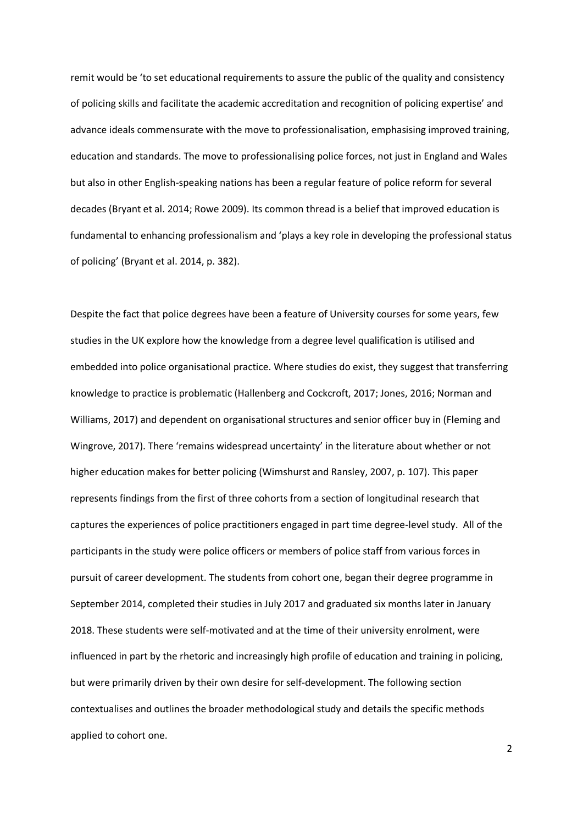remit would be 'to set educational requirements to assure the public of the quality and consistency of policing skills and facilitate the academic accreditation and recognition of policing expertise' and advance ideals commensurate with the move to professionalisation, emphasising improved training, education and standards. The move to professionalising police forces, not just in England and Wales but also in other English-speaking nations has been a regular feature of police reform for several decades (Bryant et al. 2014; Rowe 2009). Its common thread is a belief that improved education is fundamental to enhancing professionalism and 'plays a key role in developing the professional status of policing' (Bryant et al. 2014, p. 382).

Despite the fact that police degrees have been a feature of University courses for some years, few studies in the UK explore how the knowledge from a degree level qualification is utilised and embedded into police organisational practice. Where studies do exist, they suggest that transferring knowledge to practice is problematic (Hallenberg and Cockcroft, 2017; Jones, 2016; Norman and Williams, 2017) and dependent on organisational structures and senior officer buy in (Fleming and Wingrove, 2017). There 'remains widespread uncertainty' in the literature about whether or not higher education makes for better policing (Wimshurst and Ransley, 2007, p. 107). This paper represents findings from the first of three cohorts from a section of longitudinal research that captures the experiences of police practitioners engaged in part time degree-level study. All of the participants in the study were police officers or members of police staff from various forces in pursuit of career development. The students from cohort one, began their degree programme in September 2014, completed their studies in July 2017 and graduated six months later in January 2018. These students were self-motivated and at the time of their university enrolment, were influenced in part by the rhetoric and increasingly high profile of education and training in policing, but were primarily driven by their own desire for self-development. The following section contextualises and outlines the broader methodological study and details the specific methods applied to cohort one.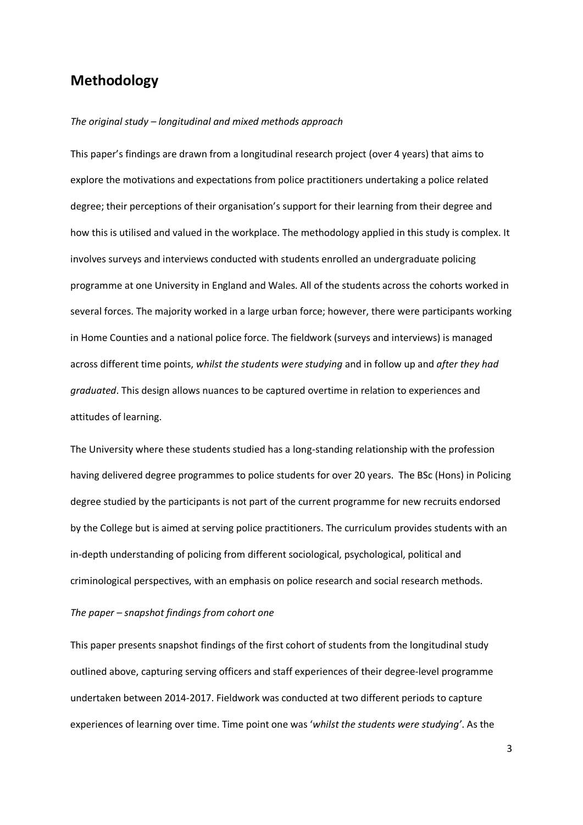# **Methodology**

#### *The original study – longitudinal and mixed methods approach*

This paper's findings are drawn from a longitudinal research project (over 4 years) that aims to explore the motivations and expectations from police practitioners undertaking a police related degree; their perceptions of their organisation's support for their learning from their degree and how this is utilised and valued in the workplace. The methodology applied in this study is complex. It involves surveys and interviews conducted with students enrolled an undergraduate policing programme at one University in England and Wales. All of the students across the cohorts worked in several forces. The majority worked in a large urban force; however, there were participants working in Home Counties and a national police force. The fieldwork (surveys and interviews) is managed across different time points, *whilst the students were studying* and in follow up and *after they had graduated*. This design allows nuances to be captured overtime in relation to experiences and attitudes of learning.

The University where these students studied has a long-standing relationship with the profession having delivered degree programmes to police students for over 20 years. The BSc (Hons) in Policing degree studied by the participants is not part of the current programme for new recruits endorsed by the College but is aimed at serving police practitioners. The curriculum provides students with an in-depth understanding of policing from different sociological, psychological, political and criminological perspectives, with an emphasis on police research and social research methods.

#### *The paper – snapshot findings from cohort one*

This paper presents snapshot findings of the first cohort of students from the longitudinal study outlined above, capturing serving officers and staff experiences of their degree-level programme undertaken between 2014-2017. Fieldwork was conducted at two different periods to capture experiences of learning over time. Time point one was '*whilst the students were studying'*. As the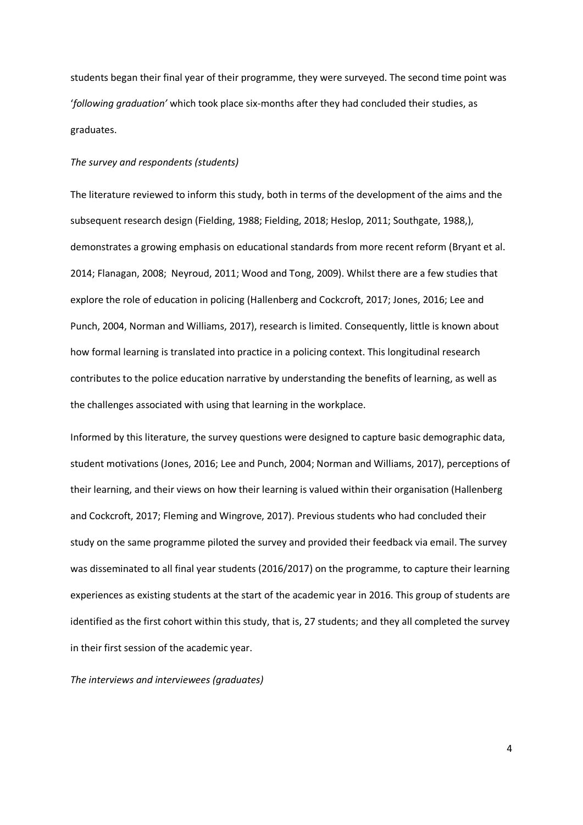students began their final year of their programme, they were surveyed. The second time point was '*following graduation'* which took place six-months after they had concluded their studies, as graduates.

#### *The survey and respondents (students)*

The literature reviewed to inform this study, both in terms of the development of the aims and the subsequent research design (Fielding, 1988; Fielding, 2018; Heslop, 2011; Southgate, 1988,), demonstrates a growing emphasis on educational standards from more recent reform (Bryant et al. 2014; Flanagan, 2008; Neyroud, 2011; Wood and Tong, 2009). Whilst there are a few studies that explore the role of education in policing (Hallenberg and Cockcroft, 2017; Jones, 2016; Lee and Punch, 2004, Norman and Williams, 2017), research is limited. Consequently, little is known about how formal learning is translated into practice in a policing context. This longitudinal research contributes to the police education narrative by understanding the benefits of learning, as well as the challenges associated with using that learning in the workplace.

Informed by this literature, the survey questions were designed to capture basic demographic data, student motivations (Jones, 2016; Lee and Punch, 2004; Norman and Williams, 2017), perceptions of their learning, and their views on how their learning is valued within their organisation (Hallenberg and Cockcroft, 2017; Fleming and Wingrove, 2017). Previous students who had concluded their study on the same programme piloted the survey and provided their feedback via email. The survey was disseminated to all final year students (2016/2017) on the programme, to capture their learning experiences as existing students at the start of the academic year in 2016. This group of students are identified as the first cohort within this study, that is, 27 students; and they all completed the survey in their first session of the academic year.

*The interviews and interviewees (graduates)*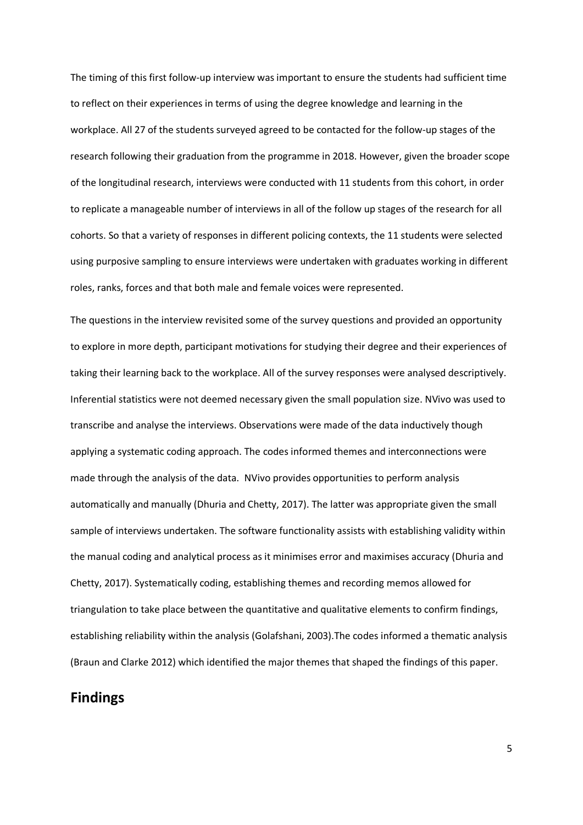The timing of this first follow-up interview was important to ensure the students had sufficient time to reflect on their experiences in terms of using the degree knowledge and learning in the workplace. All 27 of the students surveyed agreed to be contacted for the follow-up stages of the research following their graduation from the programme in 2018. However, given the broader scope of the longitudinal research, interviews were conducted with 11 students from this cohort, in order to replicate a manageable number of interviews in all of the follow up stages of the research for all cohorts. So that a variety of responses in different policing contexts, the 11 students were selected using purposive sampling to ensure interviews were undertaken with graduates working in different roles, ranks, forces and that both male and female voices were represented.

The questions in the interview revisited some of the survey questions and provided an opportunity to explore in more depth, participant motivations for studying their degree and their experiences of taking their learning back to the workplace. All of the survey responses were analysed descriptively. Inferential statistics were not deemed necessary given the small population size. NVivo was used to transcribe and analyse the interviews. Observations were made of the data inductively though applying a systematic coding approach. The codes informed themes and interconnections were made through the analysis of the data. NVivo provides opportunities to perform analysis automatically and manually (Dhuria and Chetty, 2017). The latter was appropriate given the small sample of interviews undertaken. The software functionality assists with establishing validity within the manual coding and analytical process as it minimises error and maximises accuracy (Dhuria and Chetty, 2017). Systematically coding, establishing themes and recording memos allowed for triangulation to take place between the quantitative and qualitative elements to confirm findings, establishing reliability within the analysis (Golafshani, 2003).The codes informed a thematic analysis (Braun and Clarke 2012) which identified the major themes that shaped the findings of this paper.

## **Findings**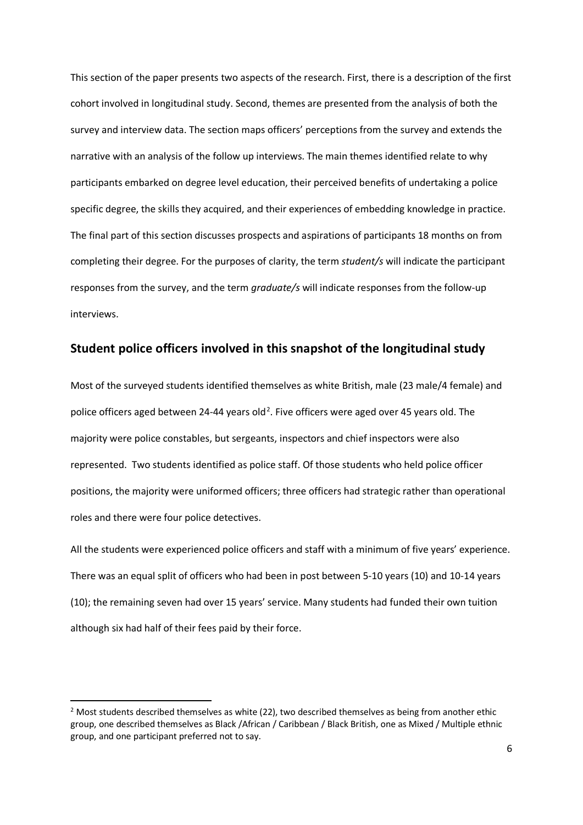This section of the paper presents two aspects of the research. First, there is a description of the first cohort involved in longitudinal study. Second, themes are presented from the analysis of both the survey and interview data. The section maps officers' perceptions from the survey and extends the narrative with an analysis of the follow up interviews. The main themes identified relate to why participants embarked on degree level education, their perceived benefits of undertaking a police specific degree, the skills they acquired, and their experiences of embedding knowledge in practice. The final part of this section discusses prospects and aspirations of participants 18 months on from completing their degree. For the purposes of clarity, the term *student/s* will indicate the participant responses from the survey, and the term *graduate/s* will indicate responses from the follow-up interviews.

#### **Student police officers involved in this snapshot of the longitudinal study**

Most of the surveyed students identified themselves as white British, male (23 male/4 female) and police officers aged between [2](#page-6-0)4-44 years old<sup>2</sup>. Five officers were aged over 45 years old. The majority were police constables, but sergeants, inspectors and chief inspectors were also represented. Two students identified as police staff. Of those students who held police officer positions, the majority were uniformed officers; three officers had strategic rather than operational roles and there were four police detectives.

All the students were experienced police officers and staff with a minimum of five years' experience. There was an equal split of officers who had been in post between 5-10 years (10) and 10-14 years (10); the remaining seven had over 15 years' service. Many students had funded their own tuition although six had half of their fees paid by their force.

<span id="page-6-0"></span> $2$  Most students described themselves as white (22), two described themselves as being from another ethic group, one described themselves as Black /African / Caribbean / Black British, one as Mixed / Multiple ethnic group, and one participant preferred not to say.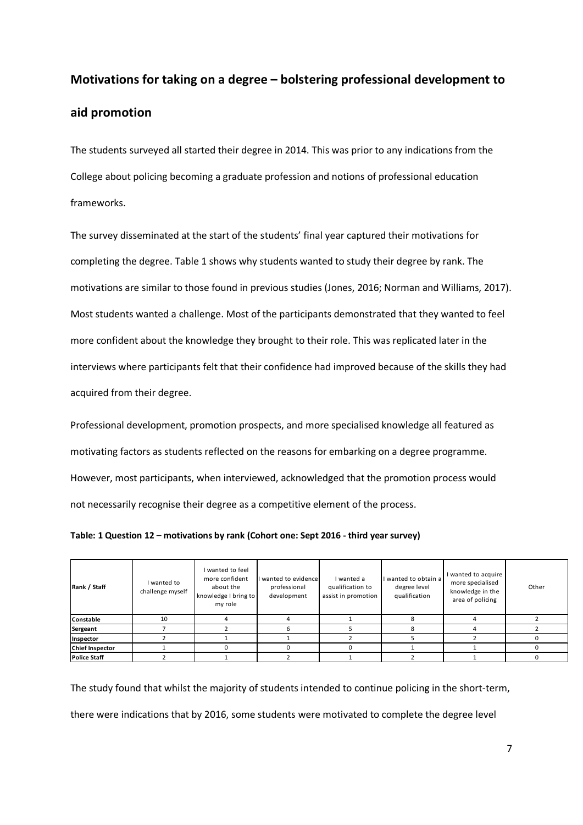# **Motivations for taking on a degree – bolstering professional development to aid promotion**

The students surveyed all started their degree in 2014. This was prior to any indications from the College about policing becoming a graduate profession and notions of professional education frameworks.

The survey disseminated at the start of the students' final year captured their motivations for completing the degree. Table 1 shows why students wanted to study their degree by rank. The motivations are similar to those found in previous studies (Jones, 2016; Norman and Williams, 2017). Most students wanted a challenge. Most of the participants demonstrated that they wanted to feel more confident about the knowledge they brought to their role. This was replicated later in the interviews where participants felt that their confidence had improved because of the skills they had acquired from their degree.

Professional development, promotion prospects, and more specialised knowledge all featured as motivating factors as students reflected on the reasons for embarking on a degree programme. However, most participants, when interviewed, acknowledged that the promotion process would not necessarily recognise their degree as a competitive element of the process.

**Table: 1 Question 12 – motivations by rank (Cohort one: Sept 2016 - third year survey)**

| Rank / Staff           | I wanted to<br>challenge myself | I wanted to feel<br>more confident<br>about the<br>knowledge I bring to<br>my role | I wanted to evidence<br>professional<br>development | I wanted a<br>qualification to<br>assist in promotion | I wanted to obtain a<br>degree level<br>qualification | I wanted to acquire<br>more specialised<br>knowledge in the<br>area of policing | Other |
|------------------------|---------------------------------|------------------------------------------------------------------------------------|-----------------------------------------------------|-------------------------------------------------------|-------------------------------------------------------|---------------------------------------------------------------------------------|-------|
| Constable              | 10                              |                                                                                    |                                                     |                                                       |                                                       |                                                                                 |       |
| Sergeant               |                                 |                                                                                    |                                                     |                                                       |                                                       |                                                                                 |       |
| Inspector              |                                 |                                                                                    |                                                     |                                                       |                                                       |                                                                                 |       |
| <b>Chief Inspector</b> |                                 |                                                                                    |                                                     |                                                       |                                                       |                                                                                 |       |
| <b>Police Staff</b>    |                                 |                                                                                    |                                                     |                                                       |                                                       |                                                                                 |       |

The study found that whilst the majority of students intended to continue policing in the short-term, there were indications that by 2016, some students were motivated to complete the degree level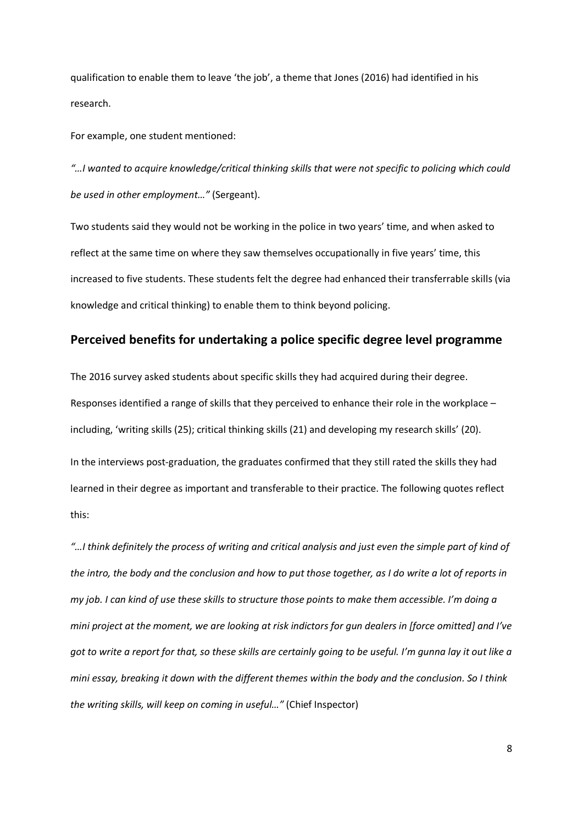qualification to enable them to leave 'the job', a theme that Jones (2016) had identified in his research.

For example, one student mentioned:

this:

*"…I wanted to acquire knowledge/critical thinking skills that were not specific to policing which could be used in other employment…"* (Sergeant).

Two students said they would not be working in the police in two years' time, and when asked to reflect at the same time on where they saw themselves occupationally in five years' time, this increased to five students. These students felt the degree had enhanced their transferrable skills (via knowledge and critical thinking) to enable them to think beyond policing.

### **Perceived benefits for undertaking a police specific degree level programme**

The 2016 survey asked students about specific skills they had acquired during their degree. Responses identified a range of skills that they perceived to enhance their role in the workplace – including, 'writing skills (25); critical thinking skills (21) and developing my research skills' (20). In the interviews post-graduation, the graduates confirmed that they still rated the skills they had learned in their degree as important and transferable to their practice. The following quotes reflect

*"…I think definitely the process of writing and critical analysis and just even the simple part of kind of the intro, the body and the conclusion and how to put those together, as I do write a lot of reports in my job. I can kind of use these skills to structure those points to make them accessible. I'm doing a mini project at the moment, we are looking at risk indictors for gun dealers in [force omitted] and I've got to write a report for that, so these skills are certainly going to be useful. I'm gunna lay it out like a mini essay, breaking it down with the different themes within the body and the conclusion. So I think the writing skills, will keep on coming in useful…"* (Chief Inspector)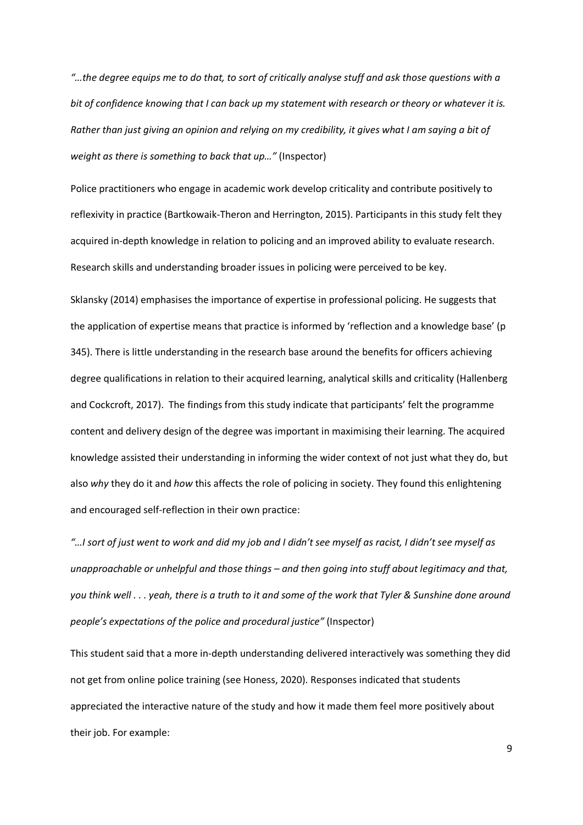*"…the degree equips me to do that, to sort of critically analyse stuff and ask those questions with a bit of confidence knowing that I can back up my statement with research or theory or whatever it is. Rather than just giving an opinion and relying on my credibility, it gives what I am saying a bit of weight as there is something to back that up…"* (Inspector)

Police practitioners who engage in academic work develop criticality and contribute positively to reflexivity in practice (Bartkowaik-Theron and Herrington, 2015). Participants in this study felt they acquired in-depth knowledge in relation to policing and an improved ability to evaluate research. Research skills and understanding broader issues in policing were perceived to be key.

Sklansky (2014) emphasises the importance of expertise in professional policing. He suggests that the application of expertise means that practice is informed by 'reflection and a knowledge base' (p 345). There is little understanding in the research base around the benefits for officers achieving degree qualifications in relation to their acquired learning, analytical skills and criticality (Hallenberg and Cockcroft, 2017). The findings from this study indicate that participants' felt the programme content and delivery design of the degree was important in maximising their learning. The acquired knowledge assisted their understanding in informing the wider context of not just what they do, but also *why* they do it and *how* this affects the role of policing in society. They found this enlightening and encouraged self-reflection in their own practice:

*"…I sort of just went to work and did my job and I didn't see myself as racist, I didn't see myself as unapproachable or unhelpful and those things – and then going into stuff about legitimacy and that, you think well . . . yeah, there is a truth to it and some of the work that Tyler & Sunshine done around people's expectations of the police and procedural justice"* (Inspector)

This student said that a more in-depth understanding delivered interactively was something they did not get from online police training (see Honess, 2020). Responses indicated that students appreciated the interactive nature of the study and how it made them feel more positively about their job. For example: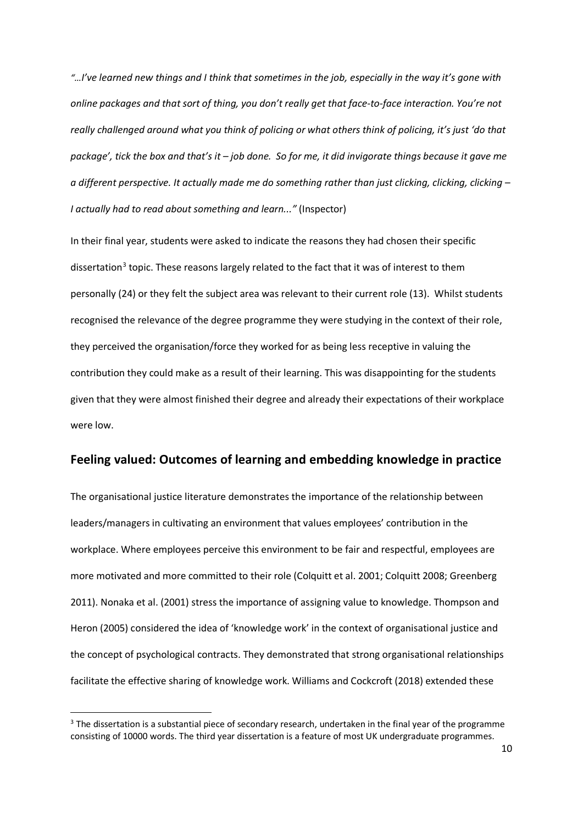*"…I've learned new things and I think that sometimes in the job, especially in the way it's gone with online packages and that sort of thing, you don't really get that face-to-face interaction. You're not really challenged around what you think of policing or what others think of policing, it's just 'do that package', tick the box and that's it – job done. So for me, it did invigorate things because it gave me a different perspective. It actually made me do something rather than just clicking, clicking, clicking – I actually had to read about something and learn..."* (Inspector)

In their final year, students were asked to indicate the reasons they had chosen their specific dissertation<sup>[3](#page-10-0)</sup> topic. These reasons largely related to the fact that it was of interest to them personally (24) or they felt the subject area was relevant to their current role (13). Whilst students recognised the relevance of the degree programme they were studying in the context of their role, they perceived the organisation/force they worked for as being less receptive in valuing the contribution they could make as a result of their learning. This was disappointing for the students given that they were almost finished their degree and already their expectations of their workplace were low.

#### **Feeling valued: Outcomes of learning and embedding knowledge in practice**

The organisational justice literature demonstrates the importance of the relationship between leaders/managers in cultivating an environment that values employees' contribution in the workplace. Where employees perceive this environment to be fair and respectful, employees are more motivated and more committed to their role (Colquitt et al. 2001; Colquitt 2008; Greenberg 2011). Nonaka et al. (2001) stress the importance of assigning value to knowledge. Thompson and Heron (2005) considered the idea of 'knowledge work' in the context of organisational justice and the concept of psychological contracts. They demonstrated that strong organisational relationships facilitate the effective sharing of knowledge work. Williams and Cockcroft (2018) extended these

<span id="page-10-0"></span> $3$  The dissertation is a substantial piece of secondary research, undertaken in the final year of the programme consisting of 10000 words. The third year dissertation is a feature of most UK undergraduate programmes.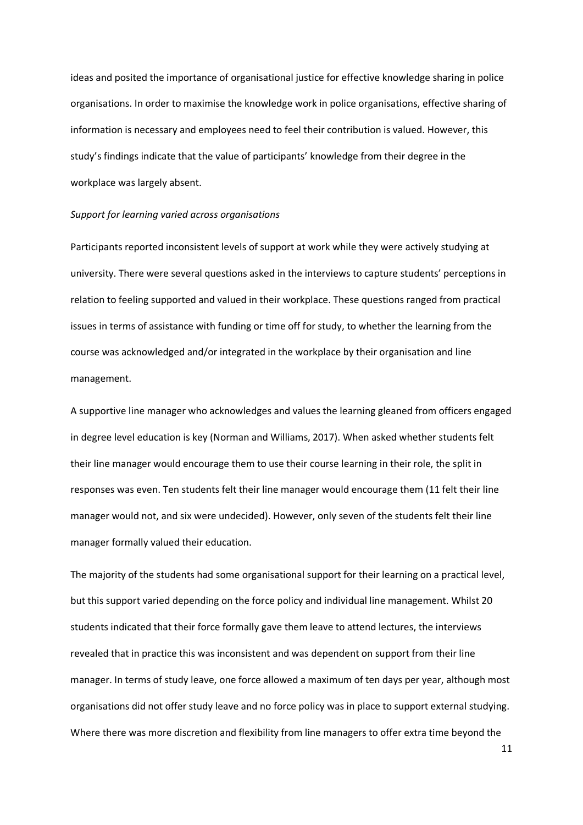ideas and posited the importance of organisational justice for effective knowledge sharing in police organisations. In order to maximise the knowledge work in police organisations, effective sharing of information is necessary and employees need to feel their contribution is valued. However, this study's findings indicate that the value of participants' knowledge from their degree in the workplace was largely absent.

#### *Support for learning varied across organisations*

Participants reported inconsistent levels of support at work while they were actively studying at university. There were several questions asked in the interviews to capture students' perceptions in relation to feeling supported and valued in their workplace. These questions ranged from practical issues in terms of assistance with funding or time off for study, to whether the learning from the course was acknowledged and/or integrated in the workplace by their organisation and line management.

A supportive line manager who acknowledges and values the learning gleaned from officers engaged in degree level education is key (Norman and Williams, 2017). When asked whether students felt their line manager would encourage them to use their course learning in their role, the split in responses was even. Ten students felt their line manager would encourage them (11 felt their line manager would not, and six were undecided). However, only seven of the students felt their line manager formally valued their education.

The majority of the students had some organisational support for their learning on a practical level, but this support varied depending on the force policy and individual line management. Whilst 20 students indicated that their force formally gave them leave to attend lectures, the interviews revealed that in practice this was inconsistent and was dependent on support from their line manager. In terms of study leave, one force allowed a maximum of ten days per year, although most organisations did not offer study leave and no force policy was in place to support external studying. Where there was more discretion and flexibility from line managers to offer extra time beyond the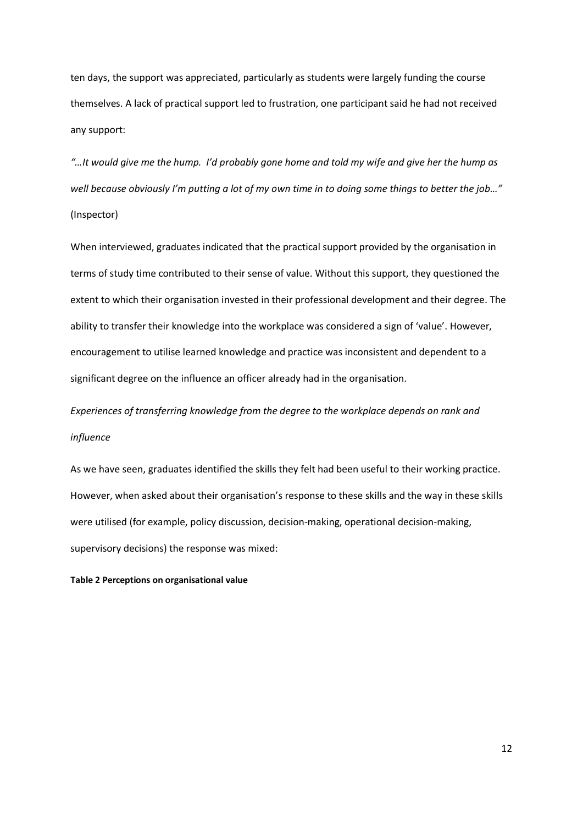ten days, the support was appreciated, particularly as students were largely funding the course themselves. A lack of practical support led to frustration, one participant said he had not received any support:

*"…It would give me the hump. I'd probably gone home and told my wife and give her the hump as well because obviously I'm putting a lot of my own time in to doing some things to better the job…"* (Inspector)

When interviewed, graduates indicated that the practical support provided by the organisation in terms of study time contributed to their sense of value. Without this support, they questioned the extent to which their organisation invested in their professional development and their degree. The ability to transfer their knowledge into the workplace was considered a sign of 'value'. However, encouragement to utilise learned knowledge and practice was inconsistent and dependent to a significant degree on the influence an officer already had in the organisation.

*Experiences of transferring knowledge from the degree to the workplace depends on rank and influence*

As we have seen, graduates identified the skills they felt had been useful to their working practice. However, when asked about their organisation's response to these skills and the way in these skills were utilised (for example, policy discussion, decision-making, operational decision-making, supervisory decisions) the response was mixed:

**Table 2 Perceptions on organisational value**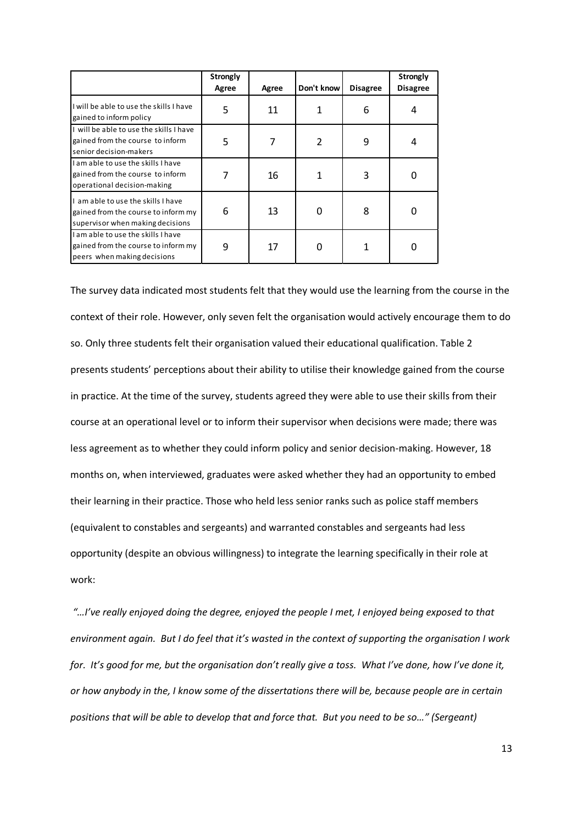|                                                                                                             | <b>Strongly</b><br>Agree | Agree | Don't know               | <b>Disagree</b> | Strongly<br><b>Disagree</b> |
|-------------------------------------------------------------------------------------------------------------|--------------------------|-------|--------------------------|-----------------|-----------------------------|
| I will be able to use the skills I have<br>gained to inform policy                                          | 5                        | 11    |                          | 6               |                             |
| I will be able to use the skills I have<br>gained from the course to inform<br>senior decision-makers       | 5                        |       | $\overline{\phantom{a}}$ | 9               | 4                           |
| I am able to use the skills I have<br>gained from the course to inform<br>operational decision-making       |                          | 16    |                          | 3               | O                           |
| Lamable to use the skills I have<br>gained from the course to inform my<br>supervisor when making decisions | 6                        | 13    | $\Omega$                 | 8               | 0                           |
| I am able to use the skills I have<br>gained from the course to inform my<br>peers when making decisions    | 9                        | 17    | O                        |                 |                             |

The survey data indicated most students felt that they would use the learning from the course in the context of their role. However, only seven felt the organisation would actively encourage them to do so. Only three students felt their organisation valued their educational qualification. Table 2 presents students' perceptions about their ability to utilise their knowledge gained from the course in practice. At the time of the survey, students agreed they were able to use their skills from their course at an operational level or to inform their supervisor when decisions were made; there was less agreement as to whether they could inform policy and senior decision-making. However, 18 months on, when interviewed, graduates were asked whether they had an opportunity to embed their learning in their practice. Those who held less senior ranks such as police staff members (equivalent to constables and sergeants) and warranted constables and sergeants had less opportunity (despite an obvious willingness) to integrate the learning specifically in their role at work:

*"…I've really enjoyed doing the degree, enjoyed the people I met, I enjoyed being exposed to that environment again. But I do feel that it's wasted in the context of supporting the organisation I work for. It's good for me, but the organisation don't really give a toss. What I've done, how I've done it, or how anybody in the, I know some of the dissertations there will be, because people are in certain positions that will be able to develop that and force that. But you need to be so…" (Sergeant)*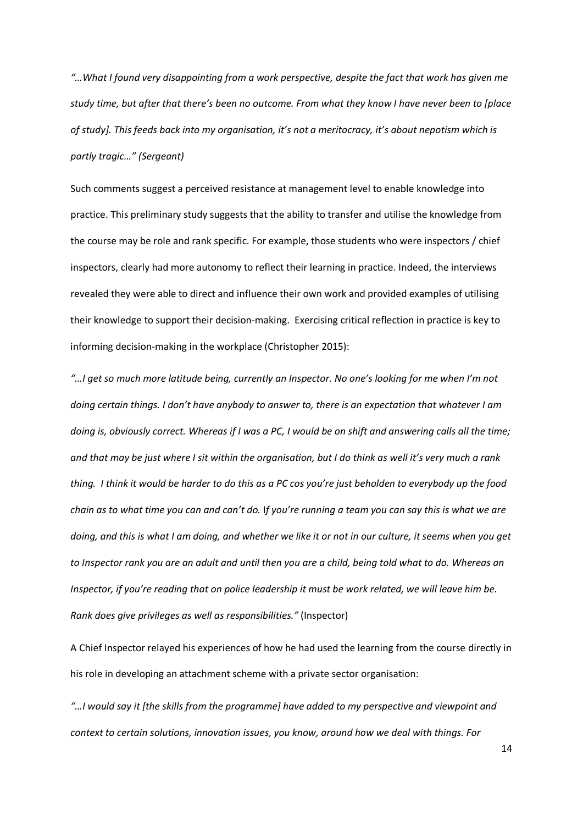*"…What I found very disappointing from a work perspective, despite the fact that work has given me study time, but after that there's been no outcome. From what they know I have never been to [place of study]. This feeds back into my organisation, it's not a meritocracy, it's about nepotism which is partly tragic…" (Sergeant)*

Such comments suggest a perceived resistance at management level to enable knowledge into practice. This preliminary study suggests that the ability to transfer and utilise the knowledge from the course may be role and rank specific. For example, those students who were inspectors / chief inspectors, clearly had more autonomy to reflect their learning in practice. Indeed, the interviews revealed they were able to direct and influence their own work and provided examples of utilising their knowledge to support their decision-making. Exercising critical reflection in practice is key to informing decision-making in the workplace (Christopher 2015):

*"…I get so much more latitude being, currently an Inspector. No one's looking for me when I'm not doing certain things. I don't have anybody to answer to, there is an expectation that whatever I am doing is, obviously correct. Whereas if I was a PC, I would be on shift and answering calls all the time; and that may be just where I sit within the organisation, but I do think as well it's very much a rank thing. I think it would be harder to do this as a PC cos you're just beholden to everybody up the food chain as to what time you can and can't do.* I*f you're running a team you can say this is what we are doing, and this is what I am doing, and whether we like it or not in our culture, it seems when you get to Inspector rank you are an adult and until then you are a child, being told what to do. Whereas an Inspector, if you're reading that on police leadership it must be work related, we will leave him be. Rank does give privileges as well as responsibilities."* (Inspector)

A Chief Inspector relayed his experiences of how he had used the learning from the course directly in his role in developing an attachment scheme with a private sector organisation:

*"…I would say it [the skills from the programme] have added to my perspective and viewpoint and context to certain solutions, innovation issues, you know, around how we deal with things. For*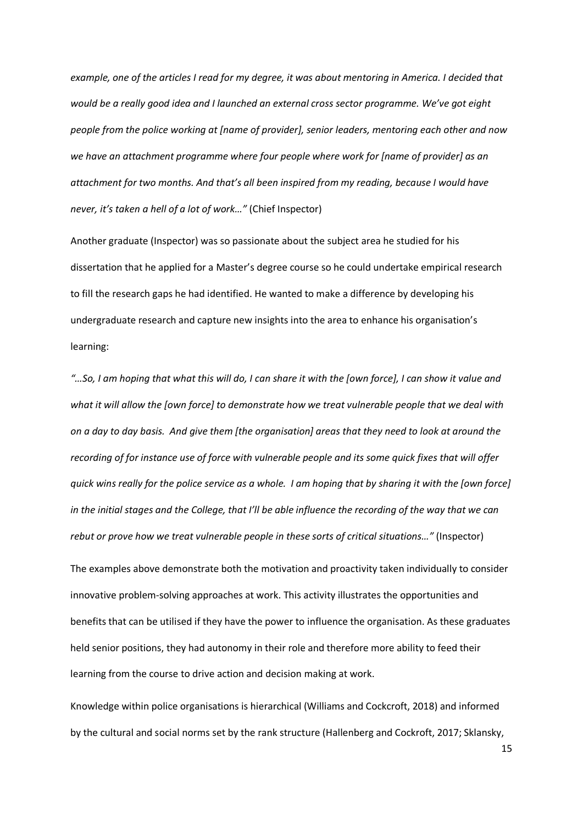*example, one of the articles I read for my degree, it was about mentoring in America. I decided that would be a really good idea and I launched an external cross sector programme. We've got eight people from the police working at [name of provider], senior leaders, mentoring each other and now we have an attachment programme where four people where work for [name of provider] as an attachment for two months. And that's all been inspired from my reading, because I would have never, it's taken a hell of a lot of work…"* (Chief Inspector)

Another graduate (Inspector) was so passionate about the subject area he studied for his dissertation that he applied for a Master's degree course so he could undertake empirical research to fill the research gaps he had identified. He wanted to make a difference by developing his undergraduate research and capture new insights into the area to enhance his organisation's learning:

*"…So, I am hoping that what this will do, I can share it with the [own force], I can show it value and what it will allow the [own force] to demonstrate how we treat vulnerable people that we deal with on a day to day basis. And give them [the organisation] areas that they need to look at around the recording of for instance use of force with vulnerable people and its some quick fixes that will offer quick wins really for the police service as a whole. I am hoping that by sharing it with the [own force] in the initial stages and the College, that I'll be able influence the recording of the way that we can rebut or prove how we treat vulnerable people in these sorts of critical situations…"* (Inspector)

The examples above demonstrate both the motivation and proactivity taken individually to consider innovative problem-solving approaches at work. This activity illustrates the opportunities and benefits that can be utilised if they have the power to influence the organisation. As these graduates held senior positions, they had autonomy in their role and therefore more ability to feed their learning from the course to drive action and decision making at work.

Knowledge within police organisations is hierarchical (Williams and Cockcroft, 2018) and informed by the cultural and social norms set by the rank structure (Hallenberg and Cockroft, 2017; Sklansky,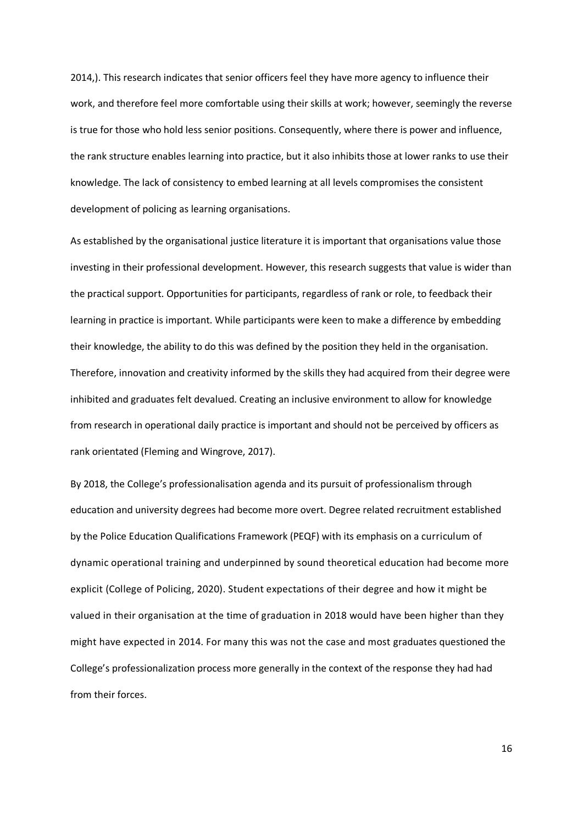2014,). This research indicates that senior officers feel they have more agency to influence their work, and therefore feel more comfortable using their skills at work; however, seemingly the reverse is true for those who hold less senior positions. Consequently, where there is power and influence, the rank structure enables learning into practice, but it also inhibits those at lower ranks to use their knowledge. The lack of consistency to embed learning at all levels compromises the consistent development of policing as learning organisations.

As established by the organisational justice literature it is important that organisations value those investing in their professional development. However, this research suggests that value is wider than the practical support. Opportunities for participants, regardless of rank or role, to feedback their learning in practice is important. While participants were keen to make a difference by embedding their knowledge, the ability to do this was defined by the position they held in the organisation. Therefore, innovation and creativity informed by the skills they had acquired from their degree were inhibited and graduates felt devalued. Creating an inclusive environment to allow for knowledge from research in operational daily practice is important and should not be perceived by officers as rank orientated (Fleming and Wingrove, 2017).

By 2018, the College's professionalisation agenda and its pursuit of professionalism through education and university degrees had become more overt. Degree related recruitment established by the Police Education Qualifications Framework (PEQF) with its emphasis on a curriculum of dynamic operational training and underpinned by sound theoretical education had become more explicit (College of Policing, 2020). Student expectations of their degree and how it might be valued in their organisation at the time of graduation in 2018 would have been higher than they might have expected in 2014. For many this was not the case and most graduates questioned the College's professionalization process more generally in the context of the response they had had from their forces.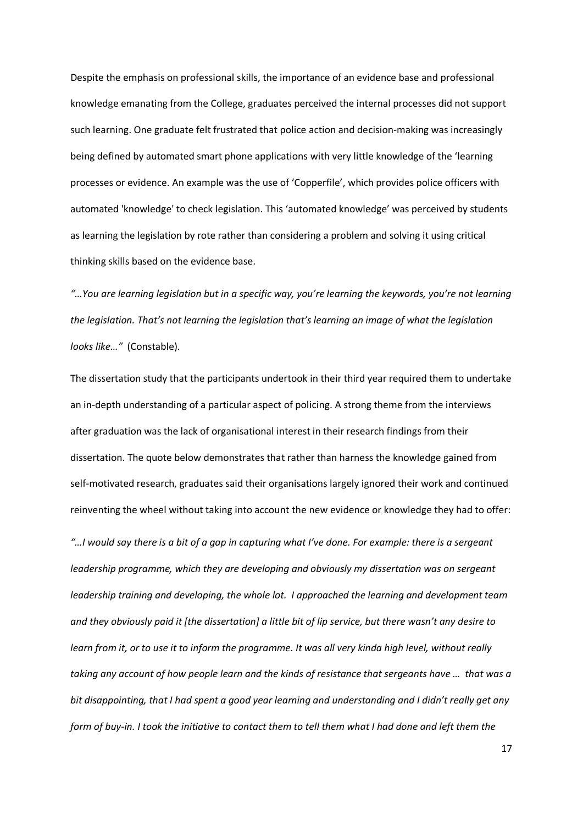Despite the emphasis on professional skills, the importance of an evidence base and professional knowledge emanating from the College, graduates perceived the internal processes did not support such learning. One graduate felt frustrated that police action and decision-making was increasingly being defined by automated smart phone applications with very little knowledge of the 'learning processes or evidence. An example was the use of 'Copperfile', which provides police officers with automated 'knowledge' to check legislation. This 'automated knowledge' was perceived by students as learning the legislation by rote rather than considering a problem and solving it using critical thinking skills based on the evidence base.

*"…You are learning legislation but in a specific way, you're learning the keywords, you're not learning the legislation. That's not learning the legislation that's learning an image of what the legislation looks like…"* (Constable).

The dissertation study that the participants undertook in their third year required them to undertake an in-depth understanding of a particular aspect of policing. A strong theme from the interviews after graduation was the lack of organisational interest in their research findings from their dissertation. The quote below demonstrates that rather than harness the knowledge gained from self-motivated research, graduates said their organisations largely ignored their work and continued reinventing the wheel without taking into account the new evidence or knowledge they had to offer:

*"…I would say there is a bit of a gap in capturing what I've done. For example: there is a sergeant leadership programme, which they are developing and obviously my dissertation was on sergeant leadership training and developing, the whole lot. I approached the learning and development team and they obviously paid it [the dissertation] a little bit of lip service, but there wasn't any desire to learn from it, or to use it to inform the programme. It was all very kinda high level, without really taking any account of how people learn and the kinds of resistance that sergeants have … that was a bit disappointing, that I had spent a good year learning and understanding and I didn't really get any form of buy-in. I took the initiative to contact them to tell them what I had done and left them the*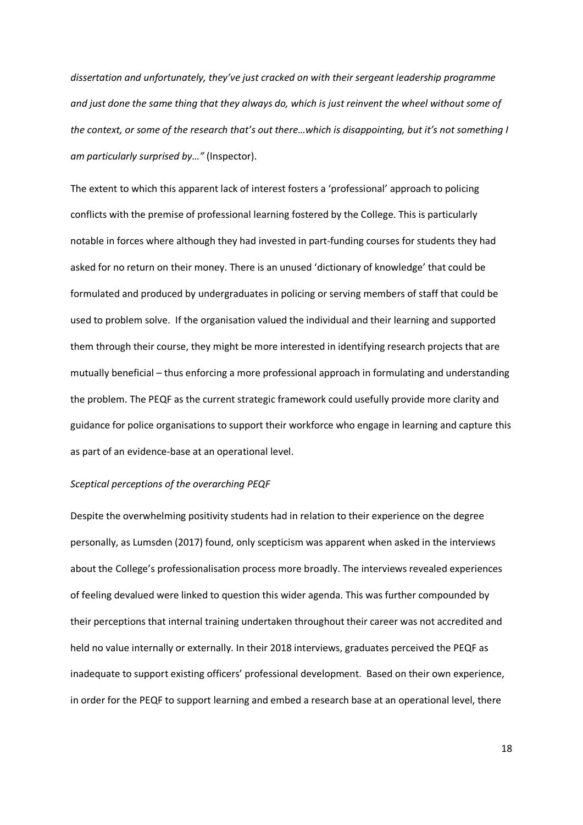*dissertation and unfortunately, they've just cracked on with their sergeant leadership programme and just done the same thing that they always do, which is just reinvent the wheel without some of the context, or some of the research that's out there…which is disappointing, but it's not something I am particularly surprised by…"* (Inspector).

The extent to which this apparent lack of interest fosters a 'professional' approach to policing conflicts with the premise of professional learning fostered by the College. This is particularly notable in forces where although they had invested in part-funding courses for students they had asked for no return on their money. There is an unused 'dictionary of knowledge' that could be formulated and produced by undergraduates in policing or serving members of staff that could be used to problem solve. If the organisation valued the individual and their learning and supported them through their course, they might be more interested in identifying research projects that are mutually beneficial – thus enforcing a more professional approach in formulating and understanding the problem. The PEQF as the current strategic framework could usefully provide more clarity and guidance for police organisations to support their workforce who engage in learning and capture this as part of an evidence-base at an operational level.

#### *Sceptical perceptions of the overarching PEQF*

Despite the overwhelming positivity students had in relation to their experience on the degree personally, as Lumsden (2017) found, only scepticism was apparent when asked in the interviews about the College's professionalisation process more broadly. The interviews revealed experiences of feeling devalued were linked to question this wider agenda. This was further compounded by their perceptions that internal training undertaken throughout their career was not accredited and held no value internally or externally. In their 2018 interviews, graduates perceived the PEQF as inadequate to support existing officers' professional development. Based on their own experience, in order for the PEQF to support learning and embed a research base at an operational level, there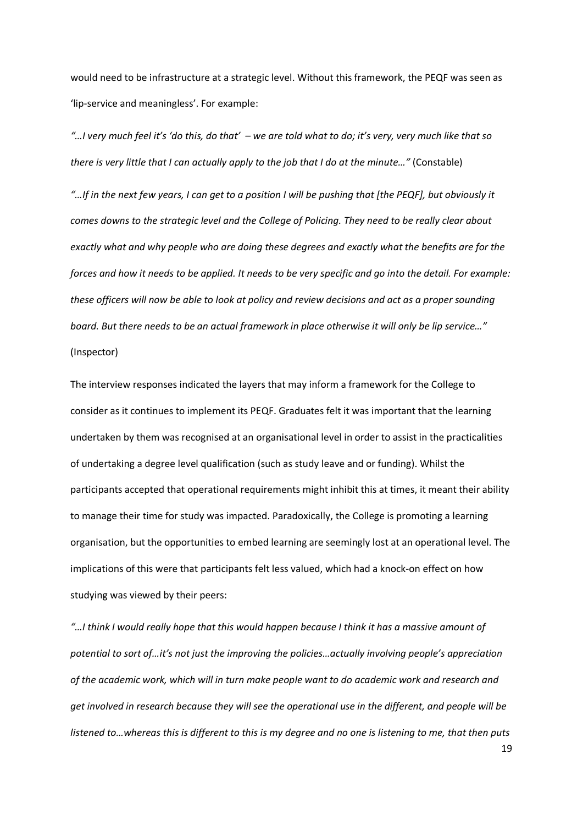would need to be infrastructure at a strategic level. Without this framework, the PEQF was seen as 'lip-service and meaningless'. For example:

*"…I very much feel it's 'do this, do that' – we are told what to do; it's very, very much like that so there is very little that I can actually apply to the job that I do at the minute…"* (Constable)

*"…If in the next few years, I can get to a position I will be pushing that [the PEQF], but obviously it comes downs to the strategic level and the College of Policing. They need to be really clear about exactly what and why people who are doing these degrees and exactly what the benefits are for the forces and how it needs to be applied. It needs to be very specific and go into the detail. For example: these officers will now be able to look at policy and review decisions and act as a proper sounding board. But there needs to be an actual framework in place otherwise it will only be lip service…"*  (Inspector)

The interview responses indicated the layers that may inform a framework for the College to consider as it continues to implement its PEQF. Graduates felt it was important that the learning undertaken by them was recognised at an organisational level in order to assist in the practicalities of undertaking a degree level qualification (such as study leave and or funding). Whilst the participants accepted that operational requirements might inhibit this at times, it meant their ability to manage their time for study was impacted. Paradoxically, the College is promoting a learning organisation, but the opportunities to embed learning are seemingly lost at an operational level. The implications of this were that participants felt less valued, which had a knock-on effect on how studying was viewed by their peers:

*"…I think I would really hope that this would happen because I think it has a massive amount of potential to sort of…it's not just the improving the policies…actually involving people's appreciation of the academic work, which will in turn make people want to do academic work and research and get involved in research because they will see the operational use in the different, and people will be listened to…whereas this is different to this is my degree and no one is listening to me, that then puts*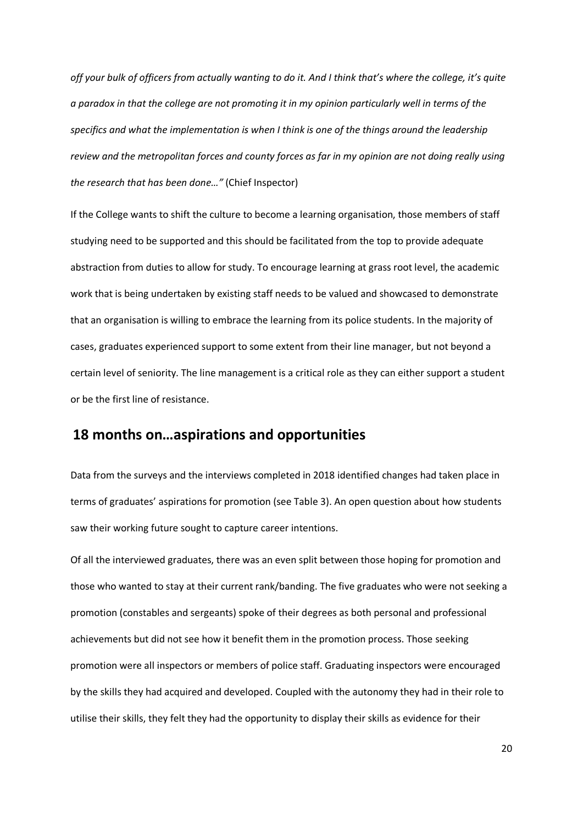*off your bulk of officers from actually wanting to do it. And I think that's where the college, it's quite a paradox in that the college are not promoting it in my opinion particularly well in terms of the specifics and what the implementation is when I think is one of the things around the leadership review and the metropolitan forces and county forces as far in my opinion are not doing really using the research that has been done…"* (Chief Inspector)

If the College wants to shift the culture to become a learning organisation, those members of staff studying need to be supported and this should be facilitated from the top to provide adequate abstraction from duties to allow for study. To encourage learning at grass root level, the academic work that is being undertaken by existing staff needs to be valued and showcased to demonstrate that an organisation is willing to embrace the learning from its police students. In the majority of cases, graduates experienced support to some extent from their line manager, but not beyond a certain level of seniority. The line management is a critical role as they can either support a student or be the first line of resistance.

## **18 months on…aspirations and opportunities**

Data from the surveys and the interviews completed in 2018 identified changes had taken place in terms of graduates' aspirations for promotion (see Table 3). An open question about how students saw their working future sought to capture career intentions.

Of all the interviewed graduates, there was an even split between those hoping for promotion and those who wanted to stay at their current rank/banding. The five graduates who were not seeking a promotion (constables and sergeants) spoke of their degrees as both personal and professional achievements but did not see how it benefit them in the promotion process. Those seeking promotion were all inspectors or members of police staff. Graduating inspectors were encouraged by the skills they had acquired and developed. Coupled with the autonomy they had in their role to utilise their skills, they felt they had the opportunity to display their skills as evidence for their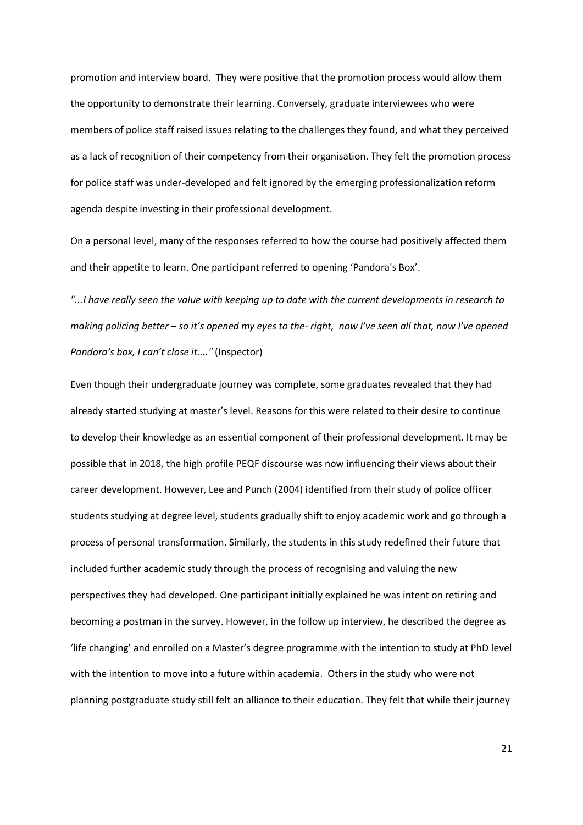promotion and interview board. They were positive that the promotion process would allow them the opportunity to demonstrate their learning. Conversely, graduate interviewees who were members of police staff raised issues relating to the challenges they found, and what they perceived as a lack of recognition of their competency from their organisation. They felt the promotion process for police staff was under-developed and felt ignored by the emerging professionalization reform agenda despite investing in their professional development.

On a personal level, many of the responses referred to how the course had positively affected them and their appetite to learn. One participant referred to opening 'Pandora's Box'.

*"...I have really seen the value with keeping up to date with the current developments in research to making policing better – so it's opened my eyes to the- right, now I've seen all that, now I've opened Pandora's box, I can't close it...."* (Inspector)

Even though their undergraduate journey was complete, some graduates revealed that they had already started studying at master's level. Reasons for this were related to their desire to continue to develop their knowledge as an essential component of their professional development. It may be possible that in 2018, the high profile PEQF discourse was now influencing their views about their career development. However, Lee and Punch (2004) identified from their study of police officer students studying at degree level, students gradually shift to enjoy academic work and go through a process of personal transformation. Similarly, the students in this study redefined their future that included further academic study through the process of recognising and valuing the new perspectives they had developed. One participant initially explained he was intent on retiring and becoming a postman in the survey. However, in the follow up interview, he described the degree as 'life changing' and enrolled on a Master's degree programme with the intention to study at PhD level with the intention to move into a future within academia. Others in the study who were not planning postgraduate study still felt an alliance to their education. They felt that while their journey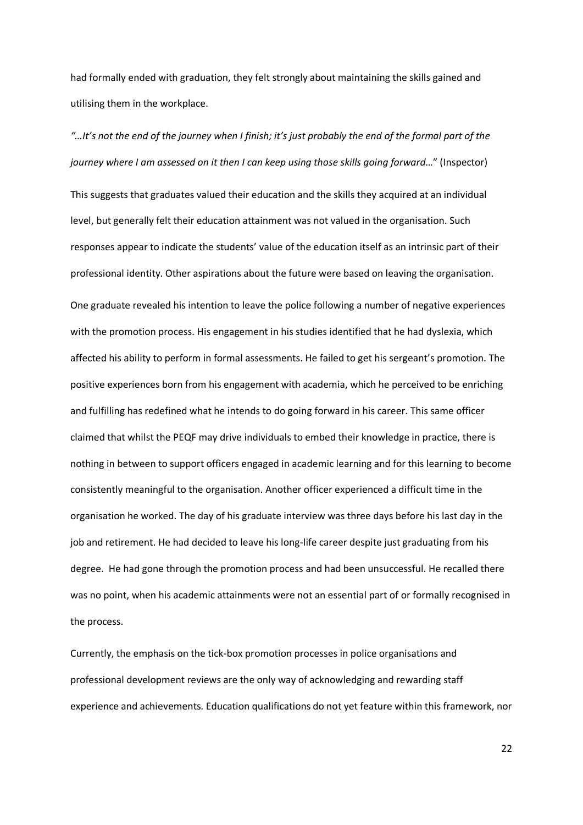had formally ended with graduation, they felt strongly about maintaining the skills gained and utilising them in the workplace.

# *"…It's not the end of the journey when I finish; it's just probably the end of the formal part of the journey where I am assessed on it then I can keep using those skills going forward*…" (Inspector)

This suggests that graduates valued their education and the skills they acquired at an individual level, but generally felt their education attainment was not valued in the organisation. Such responses appear to indicate the students' value of the education itself as an intrinsic part of their professional identity. Other aspirations about the future were based on leaving the organisation. One graduate revealed his intention to leave the police following a number of negative experiences with the promotion process. His engagement in his studies identified that he had dyslexia, which affected his ability to perform in formal assessments. He failed to get his sergeant's promotion. The positive experiences born from his engagement with academia, which he perceived to be enriching and fulfilling has redefined what he intends to do going forward in his career. This same officer claimed that whilst the PEQF may drive individuals to embed their knowledge in practice, there is nothing in between to support officers engaged in academic learning and for this learning to become consistently meaningful to the organisation. Another officer experienced a difficult time in the organisation he worked. The day of his graduate interview was three days before his last day in the job and retirement. He had decided to leave his long-life career despite just graduating from his degree. He had gone through the promotion process and had been unsuccessful. He recalled there was no point, when his academic attainments were not an essential part of or formally recognised in the process.

Currently, the emphasis on the tick-box promotion processes in police organisations and professional development reviews are the only way of acknowledging and rewarding staff experience and achievements. Education qualifications do not yet feature within this framework, nor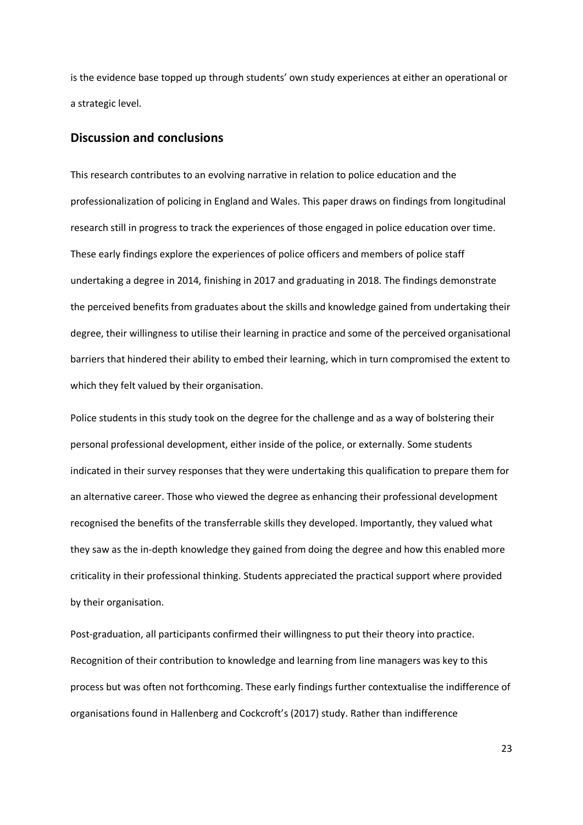is the evidence base topped up through students' own study experiences at either an operational or a strategic level.

#### **Discussion and conclusions**

This research contributes to an evolving narrative in relation to police education and the professionalization of policing in England and Wales. This paper draws on findings from longitudinal research still in progress to track the experiences of those engaged in police education over time. These early findings explore the experiences of police officers and members of police staff undertaking a degree in 2014, finishing in 2017 and graduating in 2018. The findings demonstrate the perceived benefits from graduates about the skills and knowledge gained from undertaking their degree, their willingness to utilise their learning in practice and some of the perceived organisational barriers that hindered their ability to embed their learning, which in turn compromised the extent to which they felt valued by their organisation.

Police students in this study took on the degree for the challenge and as a way of bolstering their personal professional development, either inside of the police, or externally. Some students indicated in their survey responses that they were undertaking this qualification to prepare them for an alternative career. Those who viewed the degree as enhancing their professional development recognised the benefits of the transferrable skills they developed. Importantly, they valued what they saw as the in-depth knowledge they gained from doing the degree and how this enabled more criticality in their professional thinking. Students appreciated the practical support where provided by their organisation.

Post-graduation, all participants confirmed their willingness to put their theory into practice. Recognition of their contribution to knowledge and learning from line managers was key to this process but was often not forthcoming. These early findings further contextualise the indifference of organisations found in Hallenberg and Cockcroft's (2017) study. Rather than indifference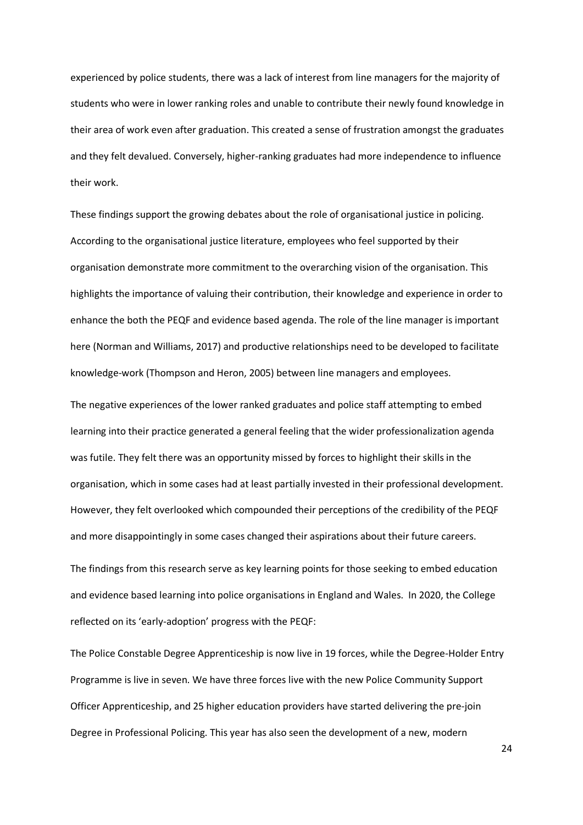experienced by police students, there was a lack of interest from line managers for the majority of students who were in lower ranking roles and unable to contribute their newly found knowledge in their area of work even after graduation. This created a sense of frustration amongst the graduates and they felt devalued. Conversely, higher-ranking graduates had more independence to influence their work.

These findings support the growing debates about the role of organisational justice in policing. According to the organisational justice literature, employees who feel supported by their organisation demonstrate more commitment to the overarching vision of the organisation. This highlights the importance of valuing their contribution, their knowledge and experience in order to enhance the both the PEQF and evidence based agenda. The role of the line manager is important here (Norman and Williams, 2017) and productive relationships need to be developed to facilitate knowledge-work (Thompson and Heron, 2005) between line managers and employees.

The negative experiences of the lower ranked graduates and police staff attempting to embed learning into their practice generated a general feeling that the wider professionalization agenda was futile. They felt there was an opportunity missed by forces to highlight their skills in the organisation, which in some cases had at least partially invested in their professional development. However, they felt overlooked which compounded their perceptions of the credibility of the PEQF and more disappointingly in some cases changed their aspirations about their future careers.

The findings from this research serve as key learning points for those seeking to embed education and evidence based learning into police organisations in England and Wales. In 2020, the College reflected on its 'early-adoption' progress with the PEQF:

The Police Constable Degree Apprenticeship is now live in 19 forces, while the Degree-Holder Entry Programme is live in seven. We have three forces live with the new Police Community Support Officer Apprenticeship, and 25 higher education providers have started delivering the pre-join Degree in Professional Policing. This year has also seen the development of a new, modern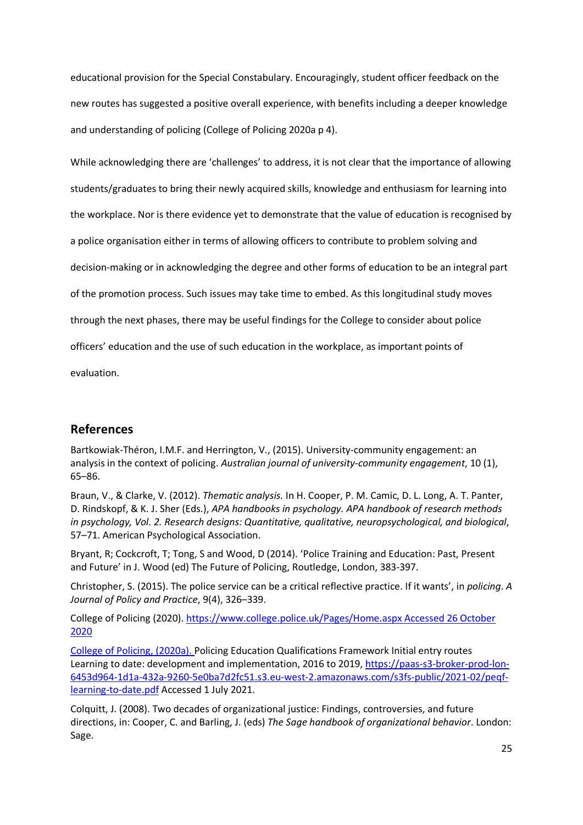educational provision for the Special Constabulary. Encouragingly, student officer feedback on the new routes has suggested a positive overall experience, with benefits including a deeper knowledge and understanding of policing (College of Policing 2020a p 4).

While acknowledging there are 'challenges' to address, it is not clear that the importance of allowing students/graduates to bring their newly acquired skills, knowledge and enthusiasm for learning into the workplace. Nor is there evidence yet to demonstrate that the value of education is recognised by a police organisation either in terms of allowing officers to contribute to problem solving and decision-making or in acknowledging the degree and other forms of education to be an integral part of the promotion process. Such issues may take time to embed. As this longitudinal study moves through the next phases, there may be useful findings for the College to consider about police officers' education and the use of such education in the workplace, as important points of evaluation.

# **References**

Bartkowiak-Théron, I.M.F. and Herrington, V., (2015). University-community engagement: an analysis in the context of policing. *Australian journal of university-community engagement*, 10 (1), 65–86.

Braun, V., & Clarke, V. (2012). *Thematic analysis.* In H. Cooper, P. M. Camic, D. L. Long, A. T. Panter, D. Rindskopf, & K. J. Sher (Eds.), *APA handbooks in psychology. APA handbook of research methods in psychology, Vol. 2. Research designs: Quantitative, qualitative, neuropsychological, and biological*, 57–71. American Psychological Association.

Bryant, R; Cockcroft, T; Tong, S and Wood, D (2014). 'Police Training and Education: Past, Present and Future' in J. Wood (ed) The Future of Policing, Routledge, London, 383-397.

Christopher, S. (2015). The police service can be a critical reflective practice. If it wants', in *policing*. *A Journal of Policy and Practice*, 9(4), 326–339.

College of Policing (2020). [https://www.college.police.uk/Pages/Home.aspx Accessed 26 October](https://www.college.police.uk/Pages/Home.aspx%20Accessed%2026%20October%202020)  [2020](https://www.college.police.uk/Pages/Home.aspx%20Accessed%2026%20October%202020)

College of Policing, (2020a). Policing Education Qualifications Framework Initial entry routes Learning to date: development and implementation, 2016 to 2019, [https://paas-s3-broker-prod-lon-](https://paas-s3-broker-prod-lon-6453d964-1d1a-432a-9260-5e0ba7d2fc51.s3.eu-west-2.amazonaws.com/s3fs-public/2021-02/peqf-learning-to-date.pdf)[6453d964-1d1a-432a-9260-5e0ba7d2fc51.s3.eu-west-2.amazonaws.com/s3fs-public/2021-02/peqf](https://paas-s3-broker-prod-lon-6453d964-1d1a-432a-9260-5e0ba7d2fc51.s3.eu-west-2.amazonaws.com/s3fs-public/2021-02/peqf-learning-to-date.pdf)[learning-to-date.pdf](https://paas-s3-broker-prod-lon-6453d964-1d1a-432a-9260-5e0ba7d2fc51.s3.eu-west-2.amazonaws.com/s3fs-public/2021-02/peqf-learning-to-date.pdf) Accessed 1 July 2021.

Colquitt, J. (2008). Two decades of organizational justice: Findings, controversies, and future directions, in: Cooper, C. and Barling, J. (eds) *The Sage handbook of organizational behavior*. London: Sage.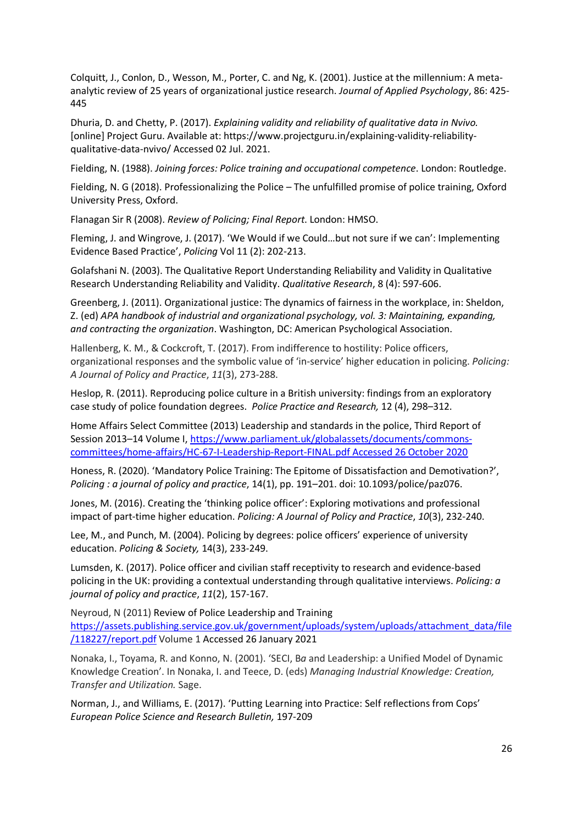Colquitt, J., Conlon, D., Wesson, M., Porter, C. and Ng, K. (2001). Justice at the millennium: A metaanalytic review of 25 years of organizational justice research. *Journal of Applied Psychology*, 86: 425- 445

Dhuria, D. and Chetty, P. (2017). *Explaining validity and reliability of qualitative data in Nvivo.* [online] Project Guru. Available at: https://www.projectguru.in/explaining-validity-reliabilityqualitative-data-nvivo/ Accessed 02 Jul. 2021.

Fielding, N. (1988). *Joining forces: Police training and occupational competence*. London: Routledge.

Fielding, N. G (2018). Professionalizing the Police – The unfulfilled promise of police training, Oxford University Press, Oxford.

Flanagan Sir R (2008). *Review of Policing; Final Report*. London: HMSO.

Fleming, J. and Wingrove, J. (2017). 'We Would if we Could…but not sure if we can': Implementing Evidence Based Practice', *Policing* Vol 11 (2): 202-213.

Golafshani N. (2003). The Qualitative Report Understanding Reliability and Validity in Qualitative Research Understanding Reliability and Validity. *Qualitative Research*, 8 (4): 597-606.

Greenberg, J. (2011). Organizational justice: The dynamics of fairness in the workplace, in: Sheldon, Z. (ed) *APA handbook of industrial and organizational psychology, vol. 3: Maintaining, expanding, and contracting the organization*. Washington, DC: American Psychological Association.

Hallenberg, K. M., & Cockcroft, T. (2017). From indifference to hostility: Police officers, organizational responses and the symbolic value of 'in-service' higher education in policing. *Policing: A Journal of Policy and Practice*, *11*(3), 273-288.

Heslop, R. (2011). Reproducing police culture in a British university: findings from an exploratory case study of police foundation degrees. *Police Practice and Research,* 12 (4), 298–312.

Home Affairs Select Committee (2013) Leadership and standards in the police, Third Report of Session 2013–14 Volume I, [https://www.parliament.uk/globalassets/documents/commons](https://www.parliament.uk/globalassets/documents/commons-committees/home-affairs/HC-67-I-Leadership-Report-FINAL.pdf%20Accessed%2026%20October%202020)[committees/home-affairs/HC-67-I-Leadership-Report-FINAL.pdf Accessed 26 October 2020](https://www.parliament.uk/globalassets/documents/commons-committees/home-affairs/HC-67-I-Leadership-Report-FINAL.pdf%20Accessed%2026%20October%202020)

Honess, R. (2020). 'Mandatory Police Training: The Epitome of Dissatisfaction and Demotivation?', *Policing : a journal of policy and practice*, 14(1), pp. 191–201. doi: 10.1093/police/paz076.

Jones, M. (2016). Creating the 'thinking police officer': Exploring motivations and professional impact of part-time higher education. *Policing: A Journal of Policy and Practice*, *10*(3), 232-240.

Lee, M., and Punch, M. (2004). Policing by degrees: police officers' experience of university education. *Policing & Society,* 14(3), 233-249.

Lumsden, K. (2017). Police officer and civilian staff receptivity to research and evidence-based policing in the UK: providing a contextual understanding through qualitative interviews. *Policing: a journal of policy and practice*, *11*(2), 157-167.

Neyroud, N (2011) Review of Police Leadership and Training [https://assets.publishing.service.gov.uk/government/uploads/system/uploads/attachment\\_data/file](https://assets.publishing.service.gov.uk/government/uploads/system/uploads/attachment_data/file/118227/report.pdf) [/118227/report.pdf](https://assets.publishing.service.gov.uk/government/uploads/system/uploads/attachment_data/file/118227/report.pdf) Volume 1 Accessed 26 January 2021

Nonaka, I., Toyama, R. and Konno, N. (2001). 'SECI, B*a* and Leadership: a Unified Model of Dynamic Knowledge Creation'. In Nonaka, I. and Teece, D. (eds) *Managing Industrial Knowledge: Creation, Transfer and Utilization.* Sage.

Norman, J., and Williams, E. (2017). 'Putting Learning into Practice: Self reflections from Cops' *European Police Science and Research Bulletin,* 197-209